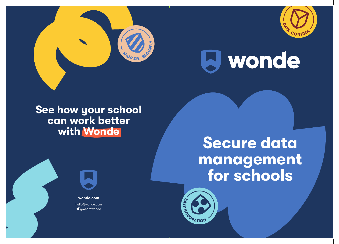



## See how your school can work better with Wonde



wonde.com hello@wonde.com

*M* @wearewonde

<sup>S</sup>GRATION



# J wonde

## Secure data management for schools